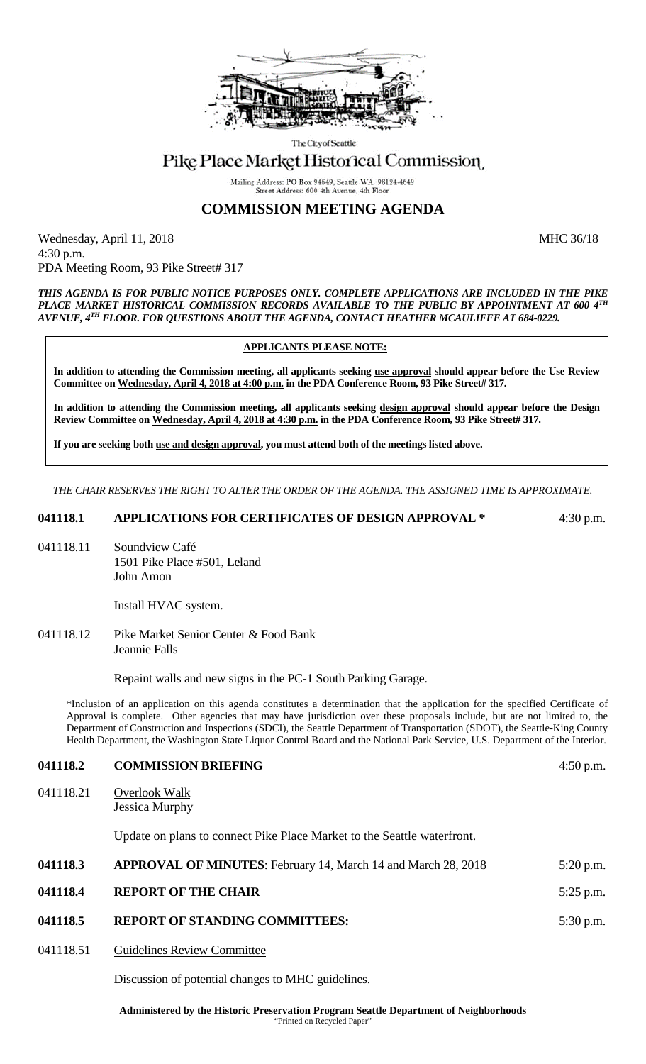

The City of Seattle

# Pike Place Market Historical Commission

Mailing Address: PO Box 94649, Seattle WA 98124-4649 Street Address: 600 4th Avenue, 4th Flo

## **COMMISSION MEETING AGENDA**

Wednesday, April 11, 2018 MHC 36/18 4:30 p.m. PDA Meeting Room, 93 Pike Street# 317

*THIS AGENDA IS FOR PUBLIC NOTICE PURPOSES ONLY. COMPLETE APPLICATIONS ARE INCLUDED IN THE PIKE PLACE MARKET HISTORICAL COMMISSION RECORDS AVAILABLE TO THE PUBLIC BY APPOINTMENT AT 600 4TH AVENUE, 4TH FLOOR. FOR QUESTIONS ABOUT THE AGENDA, CONTACT HEATHER MCAULIFFE AT 684-0229.*

#### **APPLICANTS PLEASE NOTE:**

**In addition to attending the Commission meeting, all applicants seeking use approval should appear before the Use Review Committee on Wednesday, April 4, 2018 at 4:00 p.m. in the PDA Conference Room, 93 Pike Street# 317.**

**In addition to attending the Commission meeting, all applicants seeking design approval should appear before the Design Review Committee on Wednesday, April 4, 2018 at 4:30 p.m. in the PDA Conference Room, 93 Pike Street# 317.** 

**If you are seeking both use and design approval, you must attend both of the meetings listed above.**

*THE CHAIR RESERVES THE RIGHT TO ALTER THE ORDER OF THE AGENDA. THE ASSIGNED TIME IS APPROXIMATE.*

**041118.1 APPLICATIONS FOR CERTIFICATES OF DESIGN APPROVAL \*** 4:30 p.m.

041118.11 Soundview Café 1501 Pike Place #501, Leland John Amon

Install HVAC system.

041118.12 Pike Market Senior Center & Food Bank Jeannie Falls

Repaint walls and new signs in the PC-1 South Parking Garage.

\*Inclusion of an application on this agenda constitutes a determination that the application for the specified Certificate of Approval is complete. Other agencies that may have jurisdiction over these proposals include, but are not limited to, the Department of Construction and Inspections (SDCI), the Seattle Department of Transportation (SDOT), the Seattle-King County Health Department, the Washington State Liquor Control Board and the National Park Service, U.S. Department of the Interior.

#### **041118.2 COMMISSION BRIEFING** 4:50 p.m.

041118.21 Overlook Walk Jessica Murphy

Update on plans to connect Pike Place Market to the Seattle waterfront.

| 041118.3 | <b>APPROVAL OF MINUTES:</b> February 14, March 14 and March 28, 2018 | $5:20$ p.m. |
|----------|----------------------------------------------------------------------|-------------|
| 041118.4 | <b>REPORT OF THE CHAIR</b>                                           | 5:25 p.m.   |
| 041118.5 | <b>REPORT OF STANDING COMMITTEES:</b>                                | 5:30 p.m.   |

041118.51 Guidelines Review Committee

Discussion of potential changes to MHC guidelines.